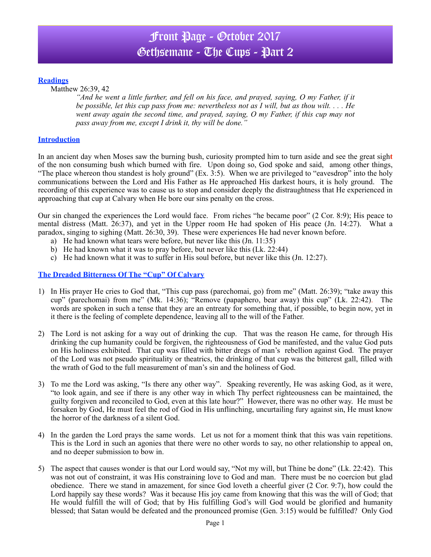# Front Page - October 2017 Gethsemane - The Cups - Part 2

#### **Readings**

Matthew 26:39, 42

*"And he went a little further, and fell on his face, and prayed, saying, O my Father, if it be possible, let this cup pass from me: nevertheless not as I will, but as thou wilt. . . . He went away again the second time, and prayed, saying, O my Father, if this cup may not pass away from me, except I drink it, thy will be done."*

#### **Introduction**

In an ancient day when Moses saw the burning bush, curiosity prompted him to turn aside and see the great sigh**t**  of the non consuming bush which burned with fire. Upon doing so, God spoke and said, among other things, "The place whereon thou standest is holy ground" (Ex. 3:5). When we are privileged to "eavesdrop" into the holy communications between the Lord and His Father as He approached His darkest hours, it is holy ground. The recording of this experience was to cause us to stop and consider deeply the distraughtness that He experienced in approaching that cup at Calvary when He bore our sins penalty on the cross.

Our sin changed the experiences the Lord would face. From riches "he became poor" (2 Cor. 8:9); His peace to mental distress (Matt. 26:37), and yet in the Upper room He had spoken of His peace (Jn. 14:27). What a paradox, singing to sighing (Matt. 26:30, 39). These were experiences He had never known before.

- a) He had known what tears were before, but never like this (Jn. 11:35)
- b) He had known what it was to pray before, but never like this (Lk. 22:44)
- c) He had known what it was to suffer in His soul before, but never like this (Jn. 12:27).

### **The Dreaded Bitterness Of The "Cup" Of Calvary**

- 1) In His prayer He cries to God that, "This cup pass (parechomai, go) from me" (Matt. 26:39); "take away this cup" (parechomai) from me" (Mk. 14:36); "Remove (papaphero, bear away) this cup" (Lk. 22:42). The words are spoken in such a tense that they are an entreaty for something that, if possible, to begin now, yet in it there is the feeling of complete dependence, leaving all to the will of the Father.
- 2) The Lord is not asking for a way out of drinking the cup. That was the reason He came, for through His drinking the cup humanity could be forgiven, the righteousness of God be manifested, and the value God puts on His holiness exhibited. That cup was filled with bitter dregs of man's rebellion against God. The prayer of the Lord was not pseudo spirituality or theatrics, the drinking of that cup was the bitterest gall, filled with the wrath of God to the full measurement of man's sin and the holiness of God.
- 3) To me the Lord was asking, "Is there any other way". Speaking reverently, He was asking God, as it were, "to look again, and see if there is any other way in which Thy perfect righteousness can be maintained, the guilty forgiven and reconciled to God, even at this late hour?" However, there was no other way. He must be forsaken by God, He must feel the rod of God in His unflinching, uncurtailing fury against sin, He must know the horror of the darkness of a silent God.
- 4) In the garden the Lord prays the same words. Let us not for a moment think that this was vain repetitions. This is the Lord in such an agonies that there were no other words to say, no other relationship to appeal on, and no deeper submission to bow in.
- 5) The aspect that causes wonder is that our Lord would say, "Not my will, but Thine be done" (Lk. 22:42). This was not out of constraint, it was His constraining love to God and man. There must be no coercion but glad obedience. There we stand in amazement, for since God loveth a cheerful giver (2 Cor. 9:7), how could the Lord happily say these words? Was it because His joy came from knowing that this was the will of God: that He would fulfill the will of God; that by His fulfilling God's will God would be glorified and humanity blessed; that Satan would be defeated and the pronounced promise (Gen. 3:15) would be fulfilled? Only God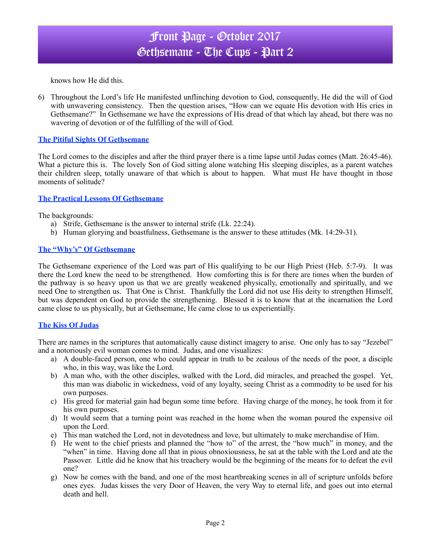## Front Page - October 2017 Gethsemane - The Cups - Part 2

knows how He did this.

6) Throughout the Lord's life He manifested unflinching devotion to God, consequently, He did the will of God with unwavering consistency. Then the question arises, "How can we equate His devotion with His cries in Gethsemane?" In Gethsemane we have the expressions of His dread of that which lay ahead, but there was no wavering of devotion or of the fulfilling of the will of God.

#### **The Pitiful Sights Of Gethsemane**

The Lord comes to the disciples and after the third prayer there is a time lapse until Judas comes (Matt. 26:45-46). What a picture this is. The lovely Son of God sitting alone watching His sleeping disciples, as a parent watches their children sleep, totally unaware of that which is about to happen. What must He have thought in those moments of solitude?

#### **The Practical Lessons Of Gethsemane**

The backgrounds:

- a) Strife, Gethsemane is the answer to internal strife (Lk. 22:24).
- b) Human glorying and boastfulness, Gethsemane is the answer to these attitudes (Mk. 14:29-31).

#### **The "Why's" Of Gethsemane**

The Gethsemane experience of the Lord was part of His qualifying to be our High Priest (Heb. 5:7-9). It was there the Lord knew the need to be strengthened. How comforting this is for there are times when the burden of the pathway is so heavy upon us that we are greatly weakened physically, emotionally and spiritually, and we need One to strengthen us. That One is Christ. Thankfully the Lord did not use His deity to strengthen Himself, but was dependent on God to provide the strengthening. Blessed it is to know that at the incarnation the Lord came close to us physically, but at Gethsemane, He came close to us experientially.

### **The Kiss Of Judas**

There are names in the scriptures that automatically cause distinct imagery to arise. One only has to say "Jezebel" and a notoriously evil woman comes to mind. Judas, and one visualizes:

- a) A double-faced person, one who could appear in truth to be zealous of the needs of the poor, a disciple who, in this way, was like the Lord.
- b) A man who, with the other disciples, walked with the Lord, did miracles, and preached the gospel. Yet, this man was diabolic in wickedness, void of any loyalty, seeing Christ as a commodity to be used for his own purposes.
- c) His greed for material gain had begun some time before. Having charge of the money, he took from it for his own purposes.
- d) It would seem that a turning point was reached in the home when the woman poured the expensive oil upon the Lord.
- e) This man watched the Lord, not in devotedness and love, but ultimately to make merchandise of Him.
- f) He went to the chief priests and planned the "how to" of the arrest, the "how much" in money, and the "when" in time. Having done all that in pious obnoxiousness, he sat at the table with the Lord and ate the Passover. Little did he know that his treachery would be the beginning of the means for to defeat the evil one?
- g) Now he comes with the band, and one of the most heartbreaking scenes in all of scripture unfolds before ones eyes. Judas kisses the very Door of Heaven, the very Way to eternal life, and goes out into eternal death and hell.